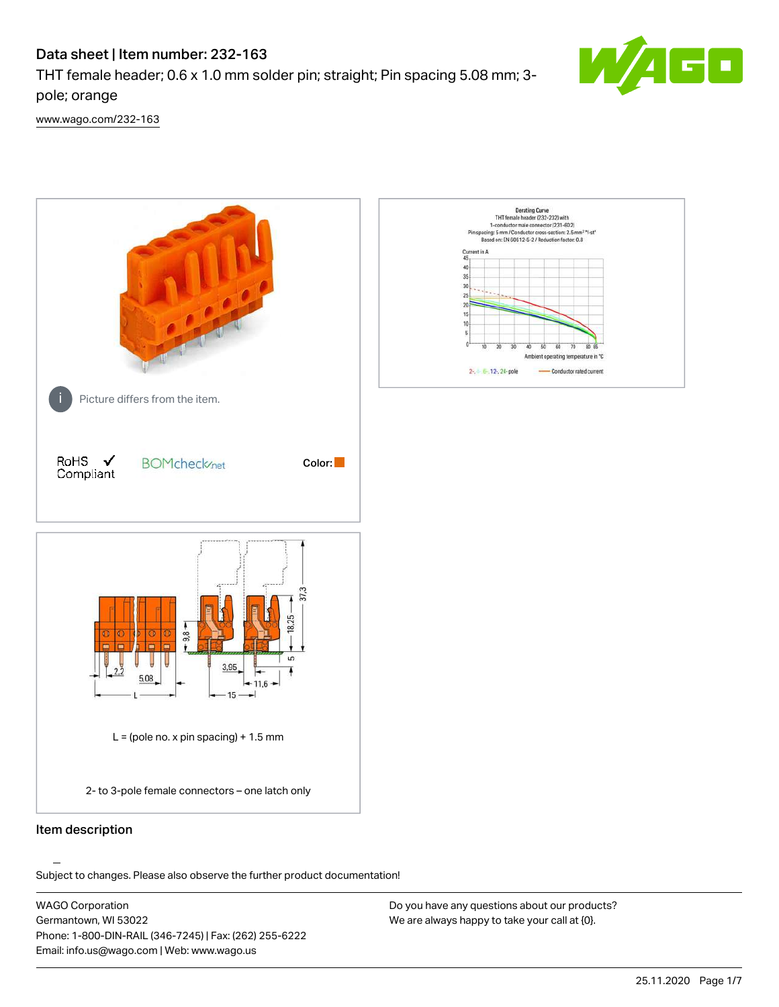# Data sheet | Item number: 232-163

THT female header; 0.6 x 1.0 mm solder pin; straight; Pin spacing 5.08 mm; 3 pole; orange



[www.wago.com/232-163](http://www.wago.com/232-163)



# Item description

.<br>Subject to changes. Please also observe the further product documentation!

WAGO Corporation Germantown, WI 53022 Phone: 1-800-DIN-RAIL (346-7245) | Fax: (262) 255-6222 Email: info.us@wago.com | Web: www.wago.us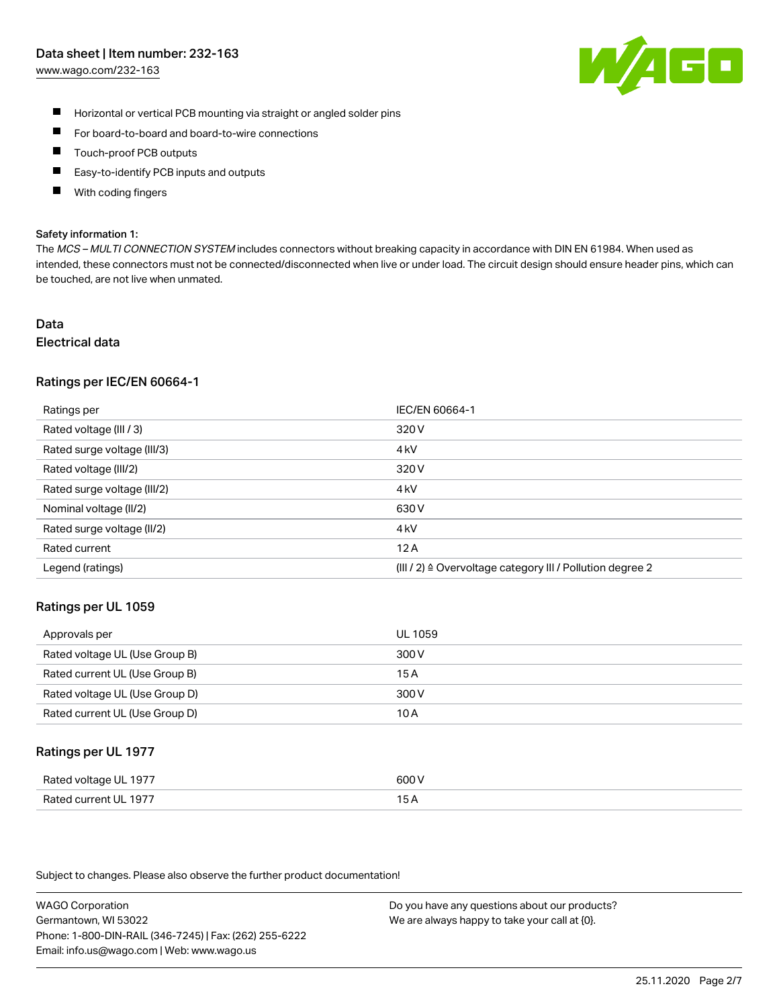## Data sheet | Item number: 232-163

[www.wago.com/232-163](http://www.wago.com/232-163)



- $\blacksquare$ Horizontal or vertical PCB mounting via straight or angled solder pins
- $\blacksquare$ For board-to-board and board-to-wire connections
- Touch-proof PCB outputs  $\blacksquare$
- П Easy-to-identify PCB inputs and outputs
- П With coding fingers

#### Safety information 1:

The MCS - MULTI CONNECTION SYSTEM includes connectors without breaking capacity in accordance with DIN EN 61984. When used as intended, these connectors must not be connected/disconnected when live or under load. The circuit design should ensure header pins, which can be touched, are not live when unmated.

# Data

# Electrical data

## Ratings per IEC/EN 60664-1

| Ratings per                 | IEC/EN 60664-1                                                       |
|-----------------------------|----------------------------------------------------------------------|
| Rated voltage (III / 3)     | 320 V                                                                |
| Rated surge voltage (III/3) | 4 <sub>k</sub> V                                                     |
| Rated voltage (III/2)       | 320 V                                                                |
| Rated surge voltage (III/2) | 4 <sub>k</sub> V                                                     |
| Nominal voltage (II/2)      | 630 V                                                                |
| Rated surge voltage (II/2)  | 4 <sub>k</sub> V                                                     |
| Rated current               | 12A                                                                  |
| Legend (ratings)            | (III / 2) $\triangleq$ Overvoltage category III / Pollution degree 2 |

## Ratings per UL 1059

| Approvals per                  | UL 1059 |
|--------------------------------|---------|
| Rated voltage UL (Use Group B) | 300 V   |
| Rated current UL (Use Group B) | 15 A    |
| Rated voltage UL (Use Group D) | 300 V   |
| Rated current UL (Use Group D) | 10 A    |

## Ratings per UL 1977

| Rated voltage UL 1977    | coo V       |
|--------------------------|-------------|
| Current UL 1977<br>Rated | ، ت<br>____ |

Subject to changes. Please also observe the further product documentation!

WAGO Corporation Germantown, WI 53022 Phone: 1-800-DIN-RAIL (346-7245) | Fax: (262) 255-6222 Email: info.us@wago.com | Web: www.wago.us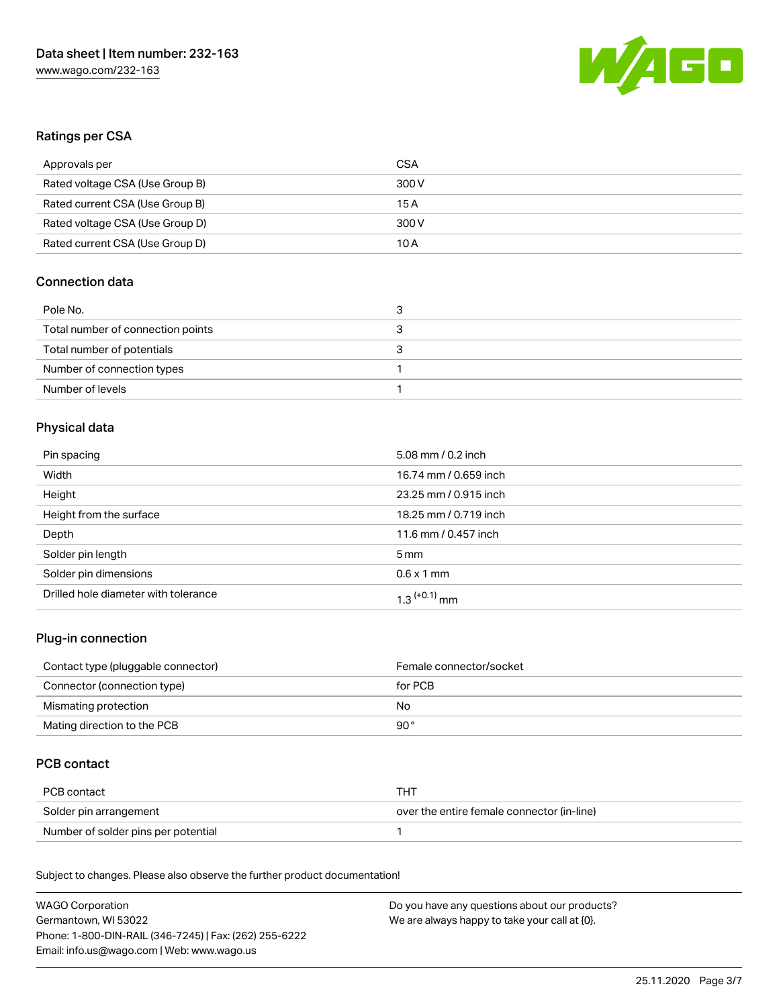

# Ratings per CSA

| Approvals per                   | CSA   |
|---------------------------------|-------|
| Rated voltage CSA (Use Group B) | 300 V |
| Rated current CSA (Use Group B) | 15 A  |
| Rated voltage CSA (Use Group D) | 300 V |
| Rated current CSA (Use Group D) | 10 A  |

# Connection data

| Pole No.                          |  |
|-----------------------------------|--|
| Total number of connection points |  |
| Total number of potentials        |  |
| Number of connection types        |  |
| Number of levels                  |  |

# Physical data

| Pin spacing                          | 5.08 mm / 0.2 inch         |
|--------------------------------------|----------------------------|
| Width                                | 16.74 mm / 0.659 inch      |
| Height                               | 23.25 mm / 0.915 inch      |
| Height from the surface              | 18.25 mm / 0.719 inch      |
| Depth                                | 11.6 mm / 0.457 inch       |
| Solder pin length                    | $5 \,\mathrm{mm}$          |
| Solder pin dimensions                | $0.6 \times 1$ mm          |
| Drilled hole diameter with tolerance | $1.3$ <sup>(+0.1)</sup> mm |

# Plug-in connection

| Contact type (pluggable connector) | Female connector/socket |
|------------------------------------|-------------------------|
| Connector (connection type)        | for PCB                 |
| Mismating protection               | No                      |
| Mating direction to the PCB        | 90 °                    |

# PCB contact

| PCB contact                         | тнт                                        |
|-------------------------------------|--------------------------------------------|
| Solder pin arrangement              | over the entire female connector (in-line) |
| Number of solder pins per potential |                                            |

Subject to changes. Please also observe the further product documentation! Material Data

| WAGO Corporation                                       | Do you have any questions about our products? |
|--------------------------------------------------------|-----------------------------------------------|
| Germantown, WI 53022                                   | We are always happy to take your call at {0}. |
| Phone: 1-800-DIN-RAIL (346-7245)   Fax: (262) 255-6222 |                                               |
| Email: info.us@wago.com   Web: www.wago.us             |                                               |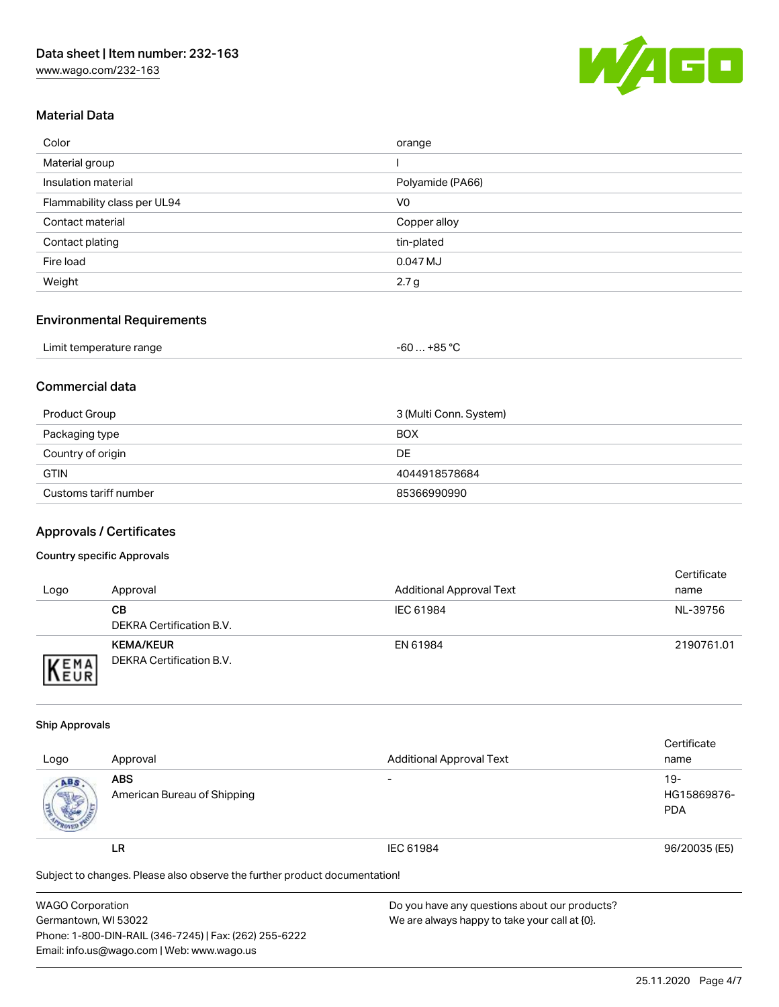

# Material Data

| Color                       | orange           |
|-----------------------------|------------------|
| Material group              |                  |
| Insulation material         | Polyamide (PA66) |
| Flammability class per UL94 | V <sub>0</sub>   |
| Contact material            | Copper alloy     |
| Contact plating             | tin-plated       |
| Fire load                   | 0.047 MJ         |
| Weight                      | 2.7 <sub>g</sub> |

# Environmental Requirements

| Limit temperature range | $+85 °C$<br>-60 |  |
|-------------------------|-----------------|--|
|-------------------------|-----------------|--|

# Commercial data

| Product Group         | 3 (Multi Conn. System) |
|-----------------------|------------------------|
| Packaging type        | <b>BOX</b>             |
| Country of origin     | DE                     |
| <b>GTIN</b>           | 4044918578684          |
| Customs tariff number | 85366990990            |

## Approvals / Certificates

### Country specific Approvals

| Logo                        | Approval                                     | <b>Additional Approval Text</b> | Certificate<br>name |
|-----------------------------|----------------------------------------------|---------------------------------|---------------------|
|                             | CВ<br>DEKRA Certification B.V.               | IEC 61984                       | NL-39756            |
| <b>VEMA</b><br><b>INEUR</b> | <b>KEMA/KEUR</b><br>DEKRA Certification B.V. | EN 61984                        | 2190761.01          |

#### Ship Approvals

|                                                                            |                             |                                 | Certificate   |  |
|----------------------------------------------------------------------------|-----------------------------|---------------------------------|---------------|--|
| Logo                                                                       | Approval                    | <b>Additional Approval Text</b> | name          |  |
| ABS.                                                                       | <b>ABS</b>                  | -                               | $19 -$        |  |
|                                                                            | American Bureau of Shipping |                                 | HG15869876-   |  |
|                                                                            |                             |                                 | <b>PDA</b>    |  |
|                                                                            | LR                          | IEC 61984                       | 96/20035 (E5) |  |
| Subject to changes. Please also observe the further product documentation! |                             |                                 |               |  |

| <b>WAGO Corporation</b>                                | Do you have any questions about our products? |
|--------------------------------------------------------|-----------------------------------------------|
| Germantown, WI 53022                                   | We are always happy to take your call at {0}. |
| Phone: 1-800-DIN-RAIL (346-7245)   Fax: (262) 255-6222 |                                               |
| Email: info.us@wago.com   Web: www.wago.us             |                                               |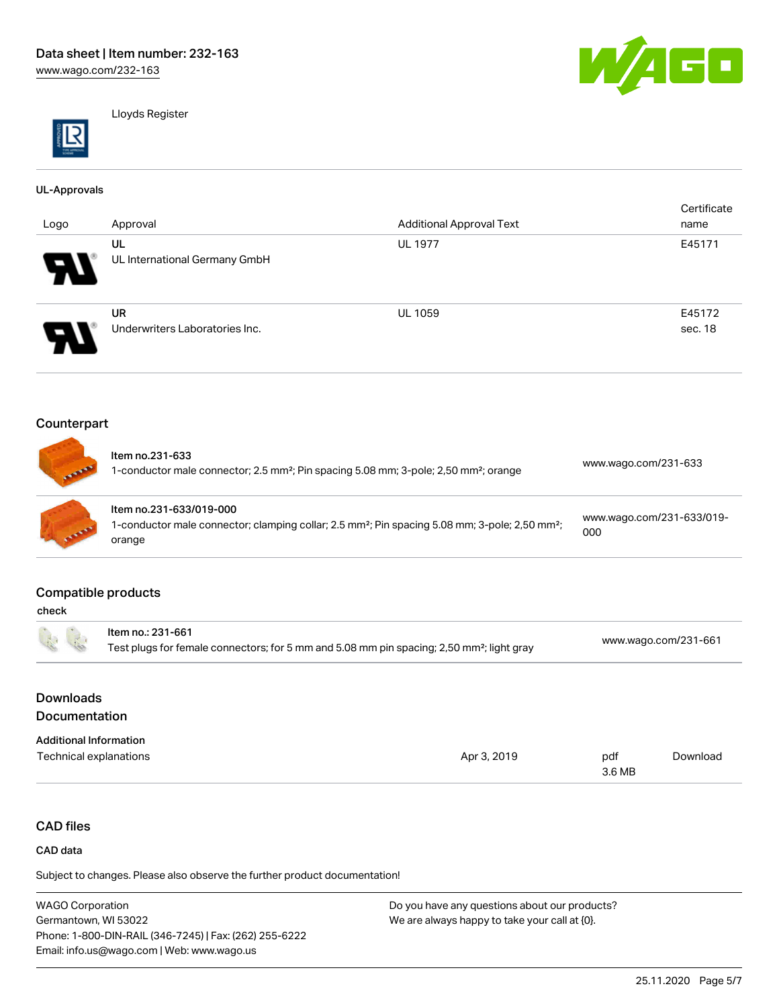

Lloyds Register

#### UL-Approvals

| Logo     | Approval                       | <b>Additional Approval Text</b> | Certificate<br>name |
|----------|--------------------------------|---------------------------------|---------------------|
|          | UL                             | <b>UL 1977</b>                  | E45171              |
| D        | UL International Germany GmbH  |                                 |                     |
|          | <b>UR</b>                      | <b>UL 1059</b>                  | E45172              |
| <b>P</b> | Underwriters Laboratories Inc. |                                 | sec. 18             |

# Counterpart

| <b>BARRE</b> | Item no.231-633<br>1-conductor male connector; 2.5 mm <sup>2</sup> ; Pin spacing 5.08 mm; 3-pole; 2,50 mm <sup>2</sup> ; orange                             | www.wago.com/231-633             |
|--------------|-------------------------------------------------------------------------------------------------------------------------------------------------------------|----------------------------------|
| COLLEGE      | Item no.231-633/019-000<br>1-conductor male connector; clamping collar; 2.5 mm <sup>2</sup> ; Pin spacing 5.08 mm; 3-pole; 2,50 mm <sup>2</sup> ;<br>orange | www.wago.com/231-633/019-<br>000 |

## Compatible products

| check                             |                                                                                                                            |             |               |                      |  |
|-----------------------------------|----------------------------------------------------------------------------------------------------------------------------|-------------|---------------|----------------------|--|
| $\tilde{L}$                       | Item no.: 231-661<br>Test plugs for female connectors; for 5 mm and 5.08 mm pin spacing; 2,50 mm <sup>2</sup> ; light gray |             |               | www.wago.com/231-661 |  |
| <b>Downloads</b><br>Documentation |                                                                                                                            |             |               |                      |  |
| <b>Additional Information</b>     |                                                                                                                            |             |               |                      |  |
| Technical explanations            |                                                                                                                            | Apr 3, 2019 | pdf<br>3.6 MB | Download             |  |

# CAD files

#### CAD data

Subject to changes. Please also observe the further product documentation!

WAGO Corporation Germantown, WI 53022 Phone: 1-800-DIN-RAIL (346-7245) | Fax: (262) 255-6222 Email: info.us@wago.com | Web: www.wago.us Do you have any questions about our products? We are always happy to take your call at {0}.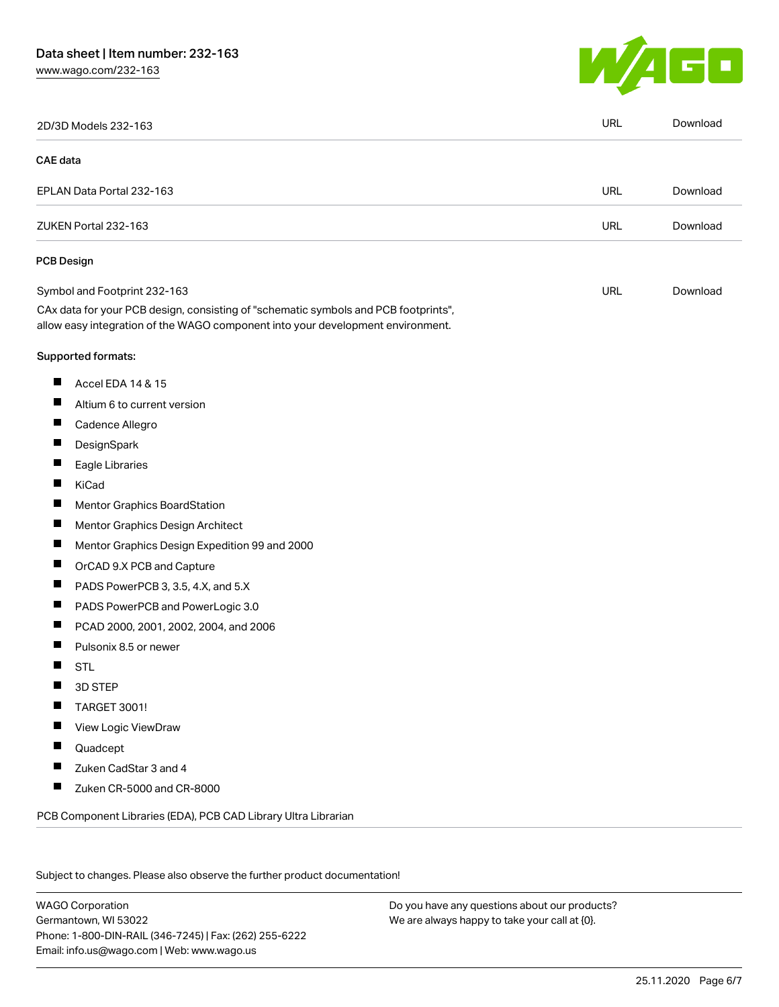# Data sheet | Item number: 232-163

[www.wago.com/232-163](http://www.wago.com/232-163)



|                   | 2D/3D Models 232-163                                                                                                                                                   | URL        | Download |
|-------------------|------------------------------------------------------------------------------------------------------------------------------------------------------------------------|------------|----------|
| <b>CAE</b> data   |                                                                                                                                                                        |            |          |
|                   | EPLAN Data Portal 232-163                                                                                                                                              | <b>URL</b> | Download |
|                   | ZUKEN Portal 232-163                                                                                                                                                   | <b>URL</b> | Download |
| <b>PCB Design</b> |                                                                                                                                                                        |            |          |
|                   | Symbol and Footprint 232-163                                                                                                                                           | <b>URL</b> | Download |
|                   | CAx data for your PCB design, consisting of "schematic symbols and PCB footprints",<br>allow easy integration of the WAGO component into your development environment. |            |          |
|                   | Supported formats:                                                                                                                                                     |            |          |
| ш                 | Accel EDA 14 & 15                                                                                                                                                      |            |          |
| ш                 | Altium 6 to current version                                                                                                                                            |            |          |
| ш                 | Cadence Allegro                                                                                                                                                        |            |          |
| ш                 | DesignSpark                                                                                                                                                            |            |          |
| П                 | Eagle Libraries                                                                                                                                                        |            |          |
| ш                 | <b>KiCad</b>                                                                                                                                                           |            |          |
| H.                | Mentor Graphics BoardStation                                                                                                                                           |            |          |
| ш                 | Mentor Graphics Design Architect                                                                                                                                       |            |          |
| ш                 | Mentor Graphics Design Expedition 99 and 2000                                                                                                                          |            |          |
| П                 | OrCAD 9.X PCB and Capture                                                                                                                                              |            |          |
| ш                 | PADS PowerPCB 3, 3.5, 4.X, and 5.X                                                                                                                                     |            |          |
| ш                 | PADS PowerPCB and PowerLogic 3.0                                                                                                                                       |            |          |
| Ш                 | PCAD 2000, 2001, 2002, 2004, and 2006                                                                                                                                  |            |          |
| H                 | Pulsonix 8.5 or newer                                                                                                                                                  |            |          |
|                   | <b>STL</b>                                                                                                                                                             |            |          |
|                   | 3D STEP                                                                                                                                                                |            |          |
| H                 | <b>TARGET 3001!</b>                                                                                                                                                    |            |          |
|                   | View Logic ViewDraw                                                                                                                                                    |            |          |
| п                 | Quadcept                                                                                                                                                               |            |          |
| ш                 | Zuken CadStar 3 and 4                                                                                                                                                  |            |          |
| П                 | Zuken CR-5000 and CR-8000                                                                                                                                              |            |          |

Subject to changes. Please also observe the further product documentation!

WAGO Corporation Germantown, WI 53022 Phone: 1-800-DIN-RAIL (346-7245) | Fax: (262) 255-6222 Email: info.us@wago.com | Web: www.wago.us